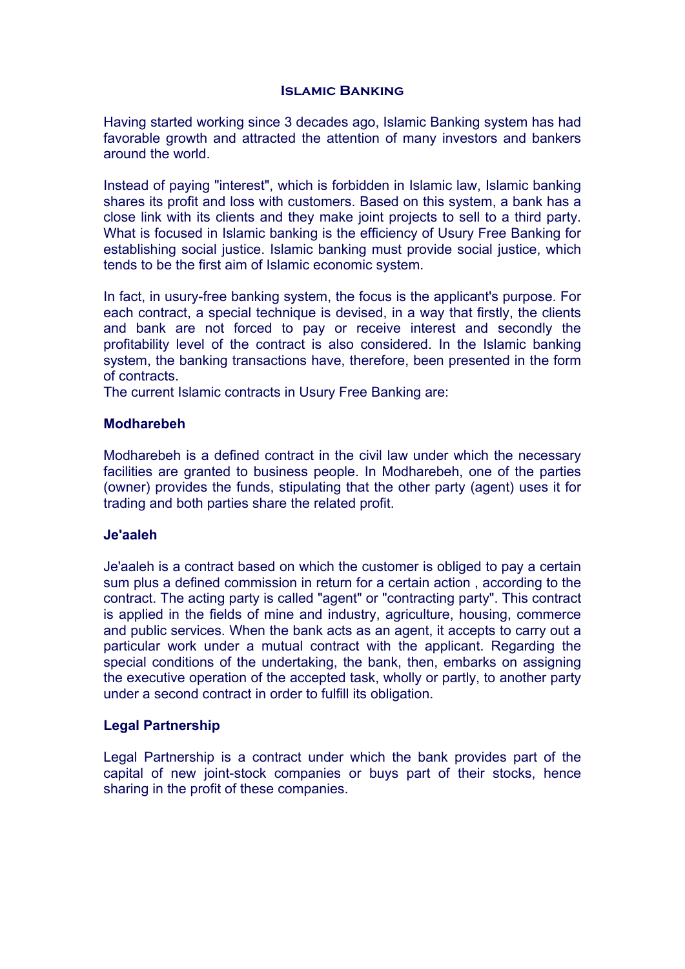# **Islamic Banking**

Having started working since 3 decades ago, Islamic Banking system has had favorable growth and attracted the attention of many investors and bankers around the world.

Instead of paying "interest", which is forbidden in Islamic law, Islamic banking shares its profit and loss with customers. Based on this system, a bank has a close link with its clients and they make joint projects to sell to a third party. What is focused in Islamic banking is the efficiency of Usury Free Banking for establishing social justice. Islamic banking must provide social justice, which tends to be the first aim of Islamic economic system.

In fact, in usury-free banking system, the focus is the applicant's purpose. For each contract, a special technique is devised, in a way that firstly, the clients and bank are not forced to pay or receive interest and secondly the profitability level of the contract is also considered. In the Islamic banking system, the banking transactions have, therefore, been presented in the form of contracts.

The current Islamic contracts in Usury Free Banking are:

# **Modharebeh**

Modharebeh is a defined contract in the civil law under which the necessary facilities are granted to business people. In Modharebeh, one of the parties (owner) provides the funds, stipulating that the other party (agent) uses it for trading and both parties share the related profit.

# **Je'aaleh**

Je'aaleh is a contract based on which the customer is obliged to pay a certain sum plus a defined commission in return for a certain action , according to the contract. The acting party is called "agent" or "contracting party". This contract is applied in the fields of mine and industry, agriculture, housing, commerce and public services. When the bank acts as an agent, it accepts to carry out a particular work under a mutual contract with the applicant. Regarding the special conditions of the undertaking, the bank, then, embarks on assigning the executive operation of the accepted task, wholly or partly, to another party under a second contract in order to fulfill its obligation.

# **Legal Partnership**

Legal Partnership is a contract under which the bank provides part of the capital of new joint-stock companies or buys part of their stocks, hence sharing in the profit of these companies.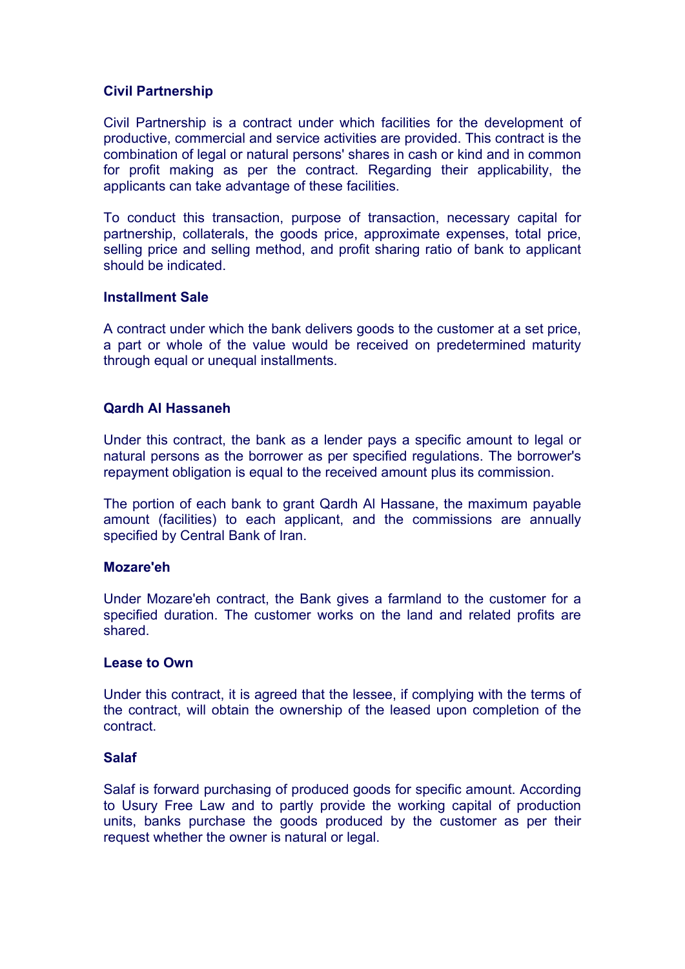# **Civil Partnership**

Civil Partnership is a contract under which facilities for the development of productive, commercial and service activities are provided. This contract is the combination of legal or natural persons' shares in cash or kind and in common for profit making as per the contract. Regarding their applicability, the applicants can take advantage of these facilities.

To conduct this transaction, purpose of transaction, necessary capital for partnership, collaterals, the goods price, approximate expenses, total price, selling price and selling method, and profit sharing ratio of bank to applicant should be indicated.

# **Installment Sale**

A contract under which the bank delivers goods to the customer at a set price, a part or whole of the value would be received on predetermined maturity through equal or unequal installments.

# **Qardh Al Hassaneh**

Under this contract, the bank as a lender pays a specific amount to legal or natural persons as the borrower as per specified regulations. The borrower's repayment obligation is equal to the received amount plus its commission.

The portion of each bank to grant Qardh Al Hassane, the maximum payable amount (facilities) to each applicant, and the commissions are annually specified by Central Bank of Iran.

# **Mozare'eh**

Under Mozare'eh contract, the Bank gives a farmland to the customer for a specified duration. The customer works on the land and related profits are shared.

# **Lease to Own**

Under this contract, it is agreed that the lessee, if complying with the terms of the contract, will obtain the ownership of the leased upon completion of the contract.

# **Salaf**

Salaf is forward purchasing of produced goods for specific amount. According to Usury Free Law and to partly provide the working capital of production units, banks purchase the goods produced by the customer as per their request whether the owner is natural or legal.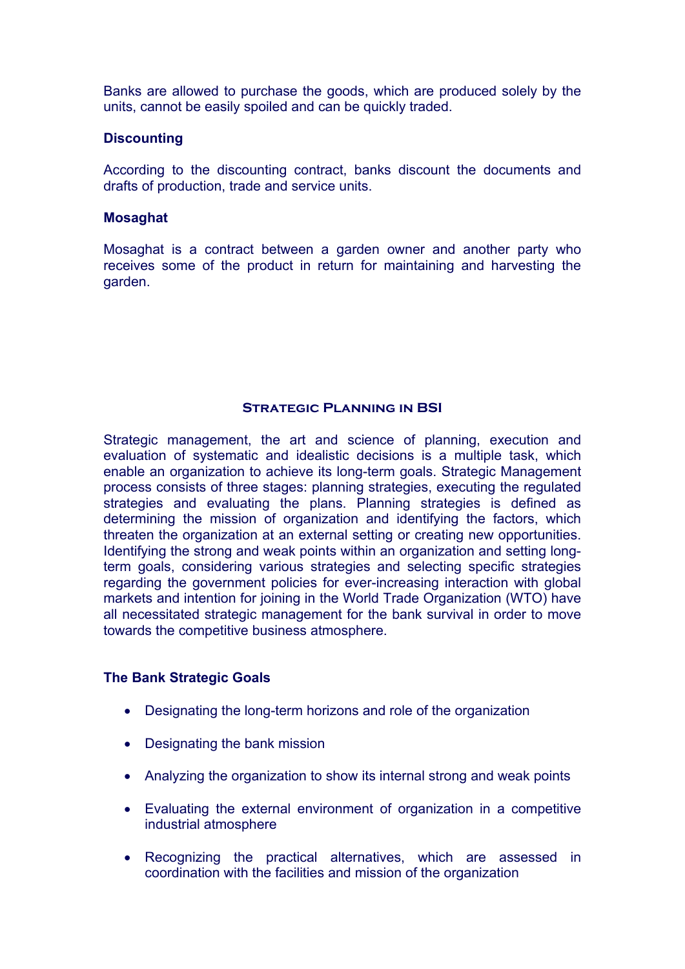Banks are allowed to purchase the goods, which are produced solely by the units, cannot be easily spoiled and can be quickly traded.

# **Discounting**

According to the discounting contract, banks discount the documents and drafts of production, trade and service units.

#### **Mosaghat**

Mosaghat is a contract between a garden owner and another party who receives some of the product in return for maintaining and harvesting the garden.

# **Strategic Planning in BSI**

Strategic management, the art and science of planning, execution and evaluation of systematic and idealistic decisions is a multiple task, which enable an organization to achieve its long-term goals. Strategic Management process consists of three stages: planning strategies, executing the regulated strategies and evaluating the plans. Planning strategies is defined as determining the mission of organization and identifying the factors, which threaten the organization at an external setting or creating new opportunities. Identifying the strong and weak points within an organization and setting longterm goals, considering various strategies and selecting specific strategies regarding the government policies for ever-increasing interaction with global markets and intention for joining in the World Trade Organization (WTO) have all necessitated strategic management for the bank survival in order to move towards the competitive business atmosphere.

# **The Bank Strategic Goals**

- Designating the long-term horizons and role of the organization
- Designating the bank mission
- Analyzing the organization to show its internal strong and weak points
- Evaluating the external environment of organization in a competitive industrial atmosphere
- Recognizing the practical alternatives, which are assessed in coordination with the facilities and mission of the organization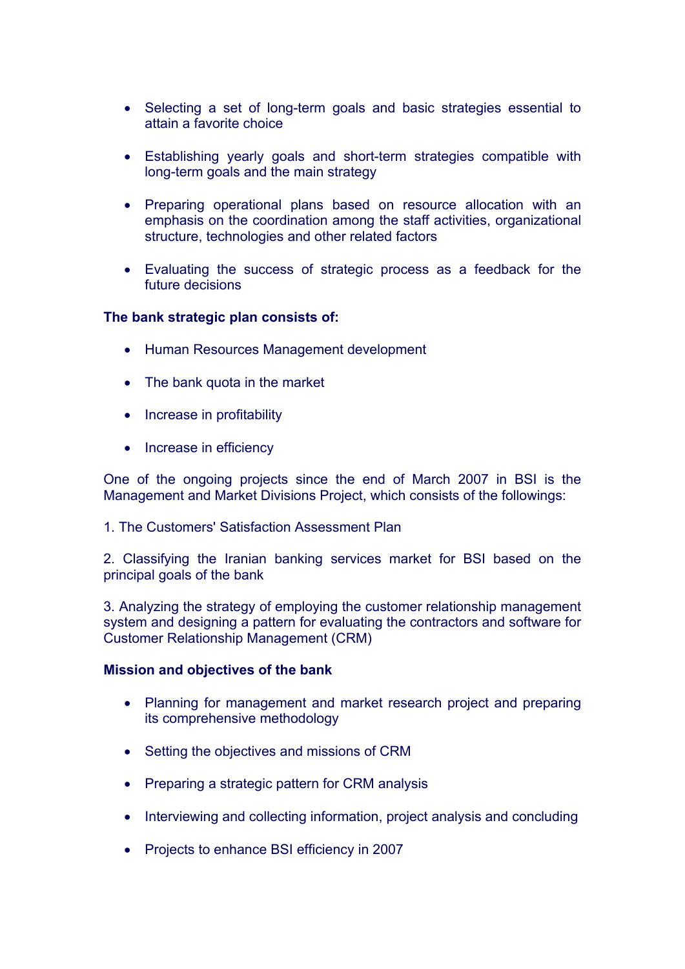- Selecting a set of long-term goals and basic strategies essential to attain a favorite choice
- Establishing yearly goals and short-term strategies compatible with long-term goals and the main strategy
- Preparing operational plans based on resource allocation with an emphasis on the coordination among the staff activities, organizational structure, technologies and other related factors
- Evaluating the success of strategic process as a feedback for the future decisions

#### **The bank strategic plan consists of:**

- Human Resources Management development
- The bank quota in the market
- Increase in profitability
- Increase in efficiency

One of the ongoing projects since the end of March 2007 in BSI is the Management and Market Divisions Project, which consists of the followings:

1. The Customers' Satisfaction Assessment Plan

2. Classifying the Iranian banking services market for BSI based on the principal goals of the bank

3. Analyzing the strategy of employing the customer relationship management system and designing a pattern for evaluating the contractors and software for Customer Relationship Management (CRM)

#### **Mission and objectives of the bank**

- Planning for management and market research project and preparing its comprehensive methodology
- Setting the objectives and missions of CRM
- Preparing a strategic pattern for CRM analysis
- Interviewing and collecting information, project analysis and concluding
- Projects to enhance BSI efficiency in 2007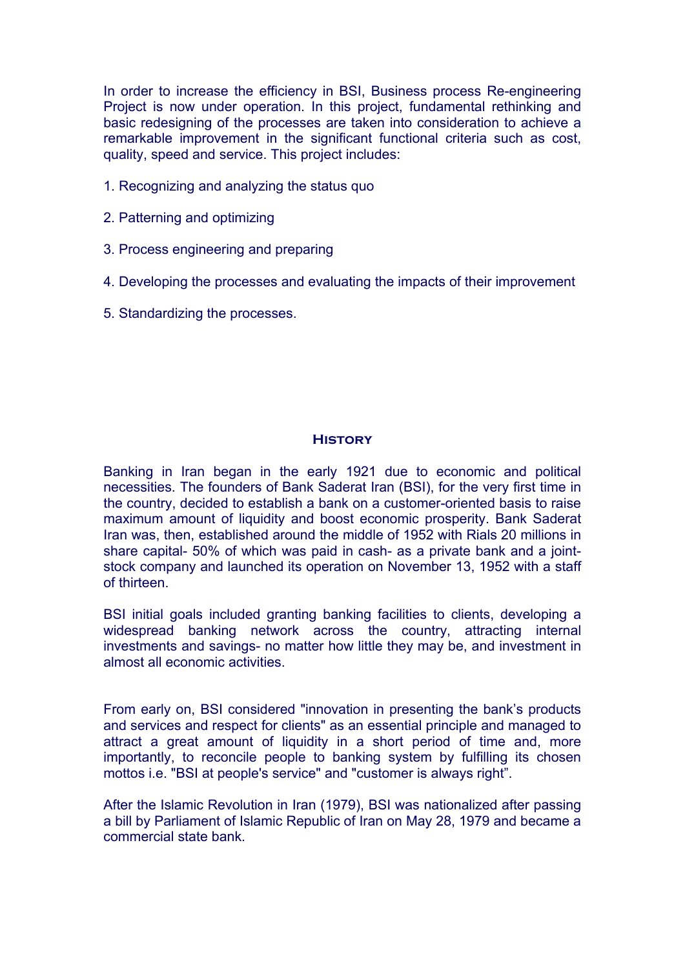In order to increase the efficiency in BSI, Business process Re-engineering Project is now under operation. In this project, fundamental rethinking and basic redesigning of the processes are taken into consideration to achieve a remarkable improvement in the significant functional criteria such as cost, quality, speed and service. This project includes:

- 1. Recognizing and analyzing the status quo
- 2. Patterning and optimizing
- 3. Process engineering and preparing
- 4. Developing the processes and evaluating the impacts of their improvement
- 5. Standardizing the processes.

# **History**

Banking in Iran began in the early 1921 due to economic and political necessities. The founders of Bank Saderat Iran (BSI), for the very first time in the country, decided to establish a bank on a customer-oriented basis to raise maximum amount of liquidity and boost economic prosperity. Bank Saderat Iran was, then, established around the middle of 1952 with Rials 20 millions in share capital- 50% of which was paid in cash- as a private bank and a jointstock company and launched its operation on November 13, 1952 with a staff of thirteen.

BSI initial goals included granting banking facilities to clients, developing a widespread banking network across the country, attracting internal investments and savings- no matter how little they may be, and investment in almost all economic activities.

From early on, BSI considered "innovation in presenting the bank's products and services and respect for clients" as an essential principle and managed to attract a great amount of liquidity in a short period of time and, more importantly, to reconcile people to banking system by fulfilling its chosen mottos i.e. "BSI at people's service" and "customer is always right".

After the Islamic Revolution in Iran (1979), BSI was nationalized after passing a bill by Parliament of Islamic Republic of Iran on May 28, 1979 and became a commercial state bank.